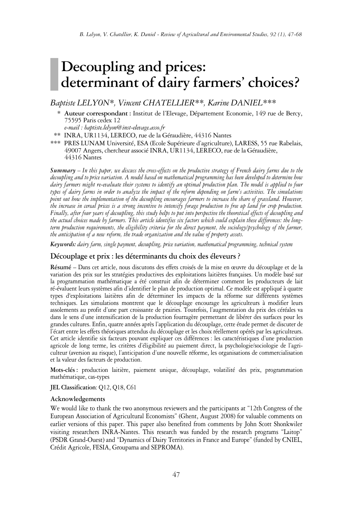# **Decoupling and prices: determinant of dairy farmers' choices?**

# *Baptiste LELYON\*, Vincent CHATELLIER\*\*, Karine DANIEL\*\*\**

\*\*\* **Auteur correspondant :** Institut de l'Elevage, Département Economie, 149 rue de Bercy, 75595 Paris cedex 12

*e-mail : baptiste.lelyon@inst-elevage.asso.fr*

- \*\*\* INRA, UR1134, LERECO, rue de la Géraudière, 44316 Nantes
- \*\*\* PRES LUNAM Université, ESA (Ecole Supérieure d'agriculture), LARESS, 55 rue Rabelais, 49007 Angers, chercheur associé INRA, UR1134, LERECO, rue de la Géraudière, 44316 Nantes

**Summary**  $-$  In this paper, we discuss the cross-effects on the productive strategy of French dairy farms due to the decoupling and to price variation. A model based on mathematical programming has been developed to determine how dairy farmers might re-evaluate their systems to identify an optimal production plan. The model is applied to four types of dairy farms in order to analyze the impact of the reform depending on farm's activities. The simulations point out how the implementation of the decoupling encourages farmers to increase the share of grassland. However, the increase in cereal prices is a strong incentive to intensify forage production to free up land for crop production. Finally, after four years of decoupling, this study helps to put into perspective the theoretical effects of decoupling and the actual choices made by farmers. This article identifies six factors which could explain these differences: the long*term production requirements, the eligibility criteria for the direct payment, the sociology/psychology of the farmer, the anticipation of a new reform, the trade organization and the value of property assets.*

*Keywords: dairy farm, single payment, decoupling, price variation, mathematical programming, technical system*

## **Découplage et prix : les déterminants du choix des éleveurs?**

**Résumé** – Dans cet article, nous discutons des effets croisés de la mise en œuvre du découplage et de la variation des prix sur les stratégies productives des exploitations laitières françaises. Un modèle basé sur la programmation mathématique a été construit afin de déterminer comment les producteurs de lait ré-évaluent leurs systèmes afin d'identifier le plan de production optimal. Ce modèle est appliqué à quatre types d'exploitations laitières afin de déterminer les impacts de la réforme sur différents systèmes techniques. Les simulations montrent que le découplage encourage les agriculteurs à modifier leurs assolements au profit d'une part croissante de prairies. Toutefois, l'augmentation du prix des céréales va dans le sens d'une intensification de la production fourragère permettant de libérer des surfaces pour les grandes cultures. Enfin, quatre années après l'application du découplage, cette étude permet de discuter de l'écart entre les effets théoriques attendus du découplage et les choix réellement opérés par les agriculteurs. Cet article identifie six facteurs pouvant expliquer ces différences : les caractéristiques d'une production agricole de long terme, les critères d'éligibilité au paiement direct, la psychologie/sociologie de l'agriculteur (aversion au risque), l'anticipation d'une nouvelle réforme, les organisations de commercialisation et la valeur des facteurs de production.

**Mots-clés :** production laitière, paiement unique, découplage, volatilité des prix, programmation mathématique, cas-types

**JEL Classification**: Q12, Q18, C61

#### **Acknowledgements**

We would like to thank the two anonymous reviewers and the participants at "12th Congress of the European Association of Agricultural Economists" (Ghent, August 2008) for valuable comments on earlier versions of this paper. This paper also benefited from comments by John Scott Shonkwiler visiting researchers INRA-Nantes. This research was funded by the research programs "Laitop" (PSDR Grand-Ouest) and "Dynamics of Dairy Territories in France and Europe" (funded by CNIEL, Crédit Agricole, FESIA, Groupama and SEPROMA).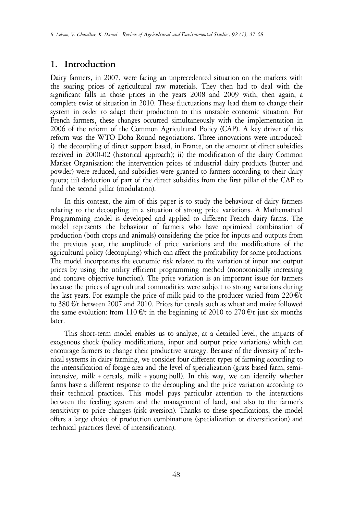# **1. Introduction**

Dairy farmers, in 2007, were facing an unprecedented situation on the markets with the soaring prices of agricultural raw materials. They then had to deal with the significant falls in those prices in the years 2008 and 2009 with, then again, a complete twist of situation in 2010. These fluctuations may lead them to change their system in order to adapt their production to this unstable economic situation. For French farmers, these changes occurred simultaneously with the implementation in 2006 of the reform of the Common Agricultural Policy (CAP). A key driver of this reform was the WTO Doha Round negotiations. Three innovations were introduced: i) the decoupling of direct support based, in France, on the amount of direct subsidies received in 2000-02 (historical approach); ii) the modification of the dairy Common Market Organisation: the intervention prices of industrial dairy products (butter and powder) were reduced, and subsidies were granted to farmers according to their dairy quota; iii) deduction of part of the direct subsidies from the first pillar of the CAP to fund the second pillar (modulation).

In this context, the aim of this paper is to study the behaviour of dairy farmers relating to the decoupling in a situation of strong price variations. A Mathematical Programming model is developed and applied to different French dairy farms. The model represents the behaviour of farmers who have optimized combination of production (both crops and animals) considering the price for inputs and outputs from the previous year, the amplitude of price variations and the modifications of the agricultural policy (decoupling) which can affect the profitability for some productions. The model incorporates the economic risk related to the variation of input and output prices by using the utility efficient programming method (monotonically increasing and concave objective function). The price variation is an important issue for farmers because the prices of agricultural commodities were subject to strong variations during the last years. For example the price of milk paid to the producer varied from  $220 \, \text{E/t}$ to 380 €/t between 2007 and 2010. Prices for cereals such as wheat and maize followed the same evolution: from 110  $\epsilon$ /t in the beginning of 2010 to 270  $\epsilon$ /t just six months later.

This short-term model enables us to analyze, at a detailed level, the impacts of exogenous shock (policy modifications, input and output price variations) which can encourage farmers to change their productive strategy. Because of the diversity of technical systems in dairy farming, we consider four different types of farming according to the intensification of forage area and the level of specialization (grass based farm, semiintensive, milk + cereals, milk + young bull). In this way, we can identify whether farms have a different response to the decoupling and the price variation according to their technical practices. This model pays particular attention to the interactions between the feeding system and the management of land, and also to the farmer's sensitivity to price changes (risk aversion). Thanks to these specifications, the model offers a large choice of production combinations (specialization or diversification) and technical practices (level of intensification).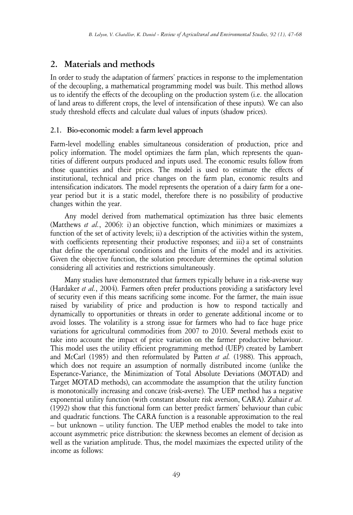# **2. Materials and methods**

In order to study the adaptation of farmers' practices in response to the implementation of the decoupling, a mathematical programming model was built. This method allows us to identify the effects of the decoupling on the production system (i.e. the allocation of land areas to different crops, the level of intensification of these inputs). We can also study threshold effects and calculate dual values of inputs (shadow prices).

# **2.1. Bio-economic model: a farm level approach**

Farm-level modelling enables simultaneous consideration of production, price and policy information. The model optimizes the farm plan, which represents the quantities of different outputs produced and inputs used. The economic results follow from those quantities and their prices. The model is used to estimate the effects of institutional, technical and price changes on the farm plan, economic results and intensification indicators. The model represents the operation of a dairy farm for a oneyear period but it is a static model, therefore there is no possibility of productive changes within the year.

Any model derived from mathematical optimization has three basic elements (Matthews *et al.*, 2006): i) an objective function, which minimizes or maximizes a function of the set of activity levels; ii) a description of the activities within the system, with coefficients representing their productive responses; and iii) a set of constraints that define the operational conditions and the limits of the model and its activities. Given the objective function, the solution procedure determines the optimal solution considering all activities and restrictions simultaneously.

Many studies have demonstrated that farmers typically behave in a risk-averse way (Hardaker *et al.*, 2004). Farmers often prefer productions providing a satisfactory level of security even if this means sacrificing some income. For the farmer, the main issue raised by variability of price and production is how to respond tactically and dynamically to opportunities or threats in order to generate additional income or to avoid losses. The volatility is a strong issue for farmers who had to face huge price variations for agricultural commodities from 2007 to 2010. Several methods exist to take into account the impact of price variation on the farmer productive behaviour. This model uses the utility efficient programming method (UEP) created by Lambert and McCarl (1985) and then reformulated by Patten *et al.* (1988). This approach, which does not require an assumption of normally distributed income (unlike the Esperance-Variance, the Minimization of Total Absolute Deviations (MOTAD) and Target MOTAD methods), can accommodate the assumption that the utility function is monotonically increasing and concave (risk-averse). The UEP method has a negative exponential utility function (with constant absolute risk aversion, CARA). Zuhair *et al.* (1992) show that this functional form can better predict farmers' behaviour than cubic and quadratic functions. The CARA function is a reasonable approximation to the real – but unknown – utility function. The UEP method enables the model to take into account asymmetric price distribution: the skewness becomes an element of decision as well as the variation amplitude. Thus, the model maximizes the expected utility of the income as follows: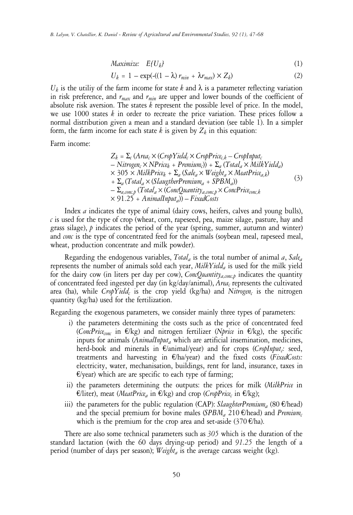$$
Maximize: E(U_k)
$$
 (1)

$$
U_k = 1 - \exp(-(1 - \lambda) r_{min} + \lambda r_{max}) \times Z_k)
$$
 (2)

 $U_k$  is the utiliy of the farm income for state k and  $\lambda$  is a parameter reflecting variation in risk preference, and *rmax* and *rmin* are upper and lower bounds of the coefficient of absolute risk aversion. The states *k* represent the possible level of price. In the model, we use 1000 states *k* in order to recreate the price variation. These prices follow a normal distribution given a mean and a standard deviation (see table 1). In a simpler form, the farm income for each state  $k$  is given by  $Z_k$  in this equation:

Farm income:

$$
Z_k = \Sigma_c (Area_c \times (CropYield_c \times CropPrice_{c,k} - CropInput_c - Nitrogen_c \times NPrice_k + Premium_c)) + \Sigma_a (Total_a \times MilkYield_a) \times 305 \times MilkPrice_k + \Sigma_a (Sale_a \times Weight_a \times MeatPrice_{a,k}) + \Sigma_a (Total_a \times (SlaugtherPremium_a + SPBM_a)) - \Sigma_{a,conv,p} (Total_a \times (ConcQuantity_{a,conv,c} \times ConePrice_{conc,k} \times 91.25 + AnimalInput_a)) - FixedCosts
$$
\n(3)

Index *a* indicates the type of animal (dairy cows, heifers, calves and young bulls),  $c$  is used for the type of crop (wheat, corn, rapeseed, pea, maize silage, pasture, hay and grass silage), *p* indicates the period of the year (spring, summer, autumn and winter) and *conc* is the type of concentrated feed for the animals (soybean meal, rapeseed meal, wheat, production concentrate and milk powder).

Regarding the endogenous variables, *Total<sup>a</sup>* is the total number of animal *a*, *Sale<sup>a</sup>* represents the number of animals sold each year, *MilkYield<sup>a</sup>* is used for the milk yield for the dairy cow (in liters per day per cow), *ConcQuantitya,conc,p* indicates the quantity of concentrated feed ingested per day (in kg/day/animal), *Area<sup>c</sup>* represents the cultivated area (ha), while *CropYield<sup>c</sup>* is the crop yield (kg/ha) and *Nitrogen<sup>c</sup>* is the nitrogen quantity (kg/ha) used for the fertilization.

Regarding the exogenous parameters, we consider mainly three types of parameters:

- i) the parameters determining the costs such as the price of concentrated feed (*ConcPriceconc* in €/kg) and nitrogen fertilizer (*Nprice* in €/kg), the specific inputs for animals (*AnimalInput<sup>a</sup>* which are artificial insemination, medicines, herd-book and minerals in €/animal/year) and for crops (*CropInput<sup>c</sup> :* seed, treatments and harvesting in €/ha/year) and the fixed costs (*FixedCosts:* electricity, water, mechanisation, buildings, rent for land, insurance, taxes in  $E$ /year) which are are specific to each type of farming;
- ii) the parameters determining the outputs: the prices for milk (*MilkPrice* in €/liter), meat (*MeatPrice<sup>a</sup>* in €/kg) and crop (*CropPrice<sup>c</sup>* in €/kg);
- iii) the parameters for the public regulation (CAP):  $SlaugbterPremium<sub>a</sub>$  (80  $\epsilon$ /head) and the special premium for bovine males (*SPBM<sub>a</sub>* 210  $\epsilon$ /head) and *Premium*<sub>c</sub> which is the premium for the crop area and set-aside (370  $\epsilon$ /ha).

There are also some technical parameters such as *305* which is the duration of the standard lactation (with the 60 days drying-up period) and *91.25* the length of a period (number of days per season); *Weight<sup>a</sup>* is the average carcass weight (kg).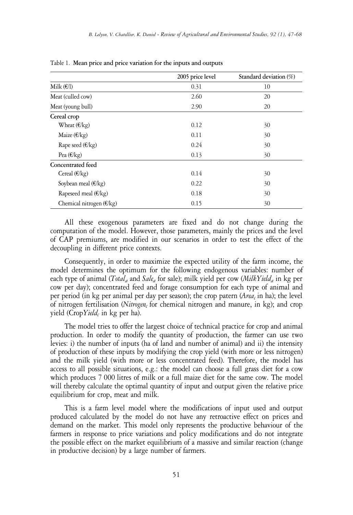|                                   | 2005 price level | Standard deviation (%) |
|-----------------------------------|------------------|------------------------|
| Milk $(\epsilon/l)$               | 0.31             | 10                     |
| Meat (culled cow)                 | 2.60             | 20                     |
| Meat (young bull)                 | 2.90             | 20                     |
| Cereal crop                       |                  |                        |
| Wheat $(\epsilon/kg)$             | 0.12             | 30                     |
| Maize $(\epsilon/kg)$             | 0.11             | 30                     |
| Rape seed $(\epsilon/kg)$         | 0.24             | 30                     |
| Pea $(\epsilon/kg)$               | 0.13             | 30                     |
| Concentrated feed                 |                  |                        |
| Cereal $(\epsilon/kg)$            | 0.14             | 30                     |
| Soybean meal $(\epsilon/kg)$      | 0.22             | 30                     |
| Rapeseed meal $(\epsilon/kg)$     | 0.18             | 30                     |
| Chemical nitrogen $(\epsilon/kg)$ | 0.15             | 30                     |

Table 1. **Mean price and price variation for the inputs and outputs**

All these exogenous parameters are fixed and do not change during the computation of the model. However, those parameters, mainly the prices and the level of CAP premiums, are modified in our scenarios in order to test the effect of the decoupling in different price contexts.

Consequently, in order to maximize the expected utility of the farm income, the model determines the optimum for the following endogenous variables: number of each type of animal (*Total<sup>a</sup>* and *Sale<sup>a</sup>* for sale); milk yield per cow (*MilkYield<sup>a</sup>* in kg per cow per day); concentrated feed and forage consumption for each type of animal and per period (in kg per animal per day per season); the crop patern (*Area<sup>c</sup>* in ha); the level of nitrogen fertilisation (*Nitrogen<sup>c</sup>* for chemical nitrogen and manure, in kg); and crop yield (Crop*Yield<sup>c</sup>* in kg per ha).

The model tries to offer the largest choice of technical practice for crop and animal production. In order to modify the quantity of production, the farmer can use two levies: i) the number of inputs (ha of land and number of animal) and ii) the intensity of production of these inputs by modifying the crop yield (with more or less nitrogen) and the milk yield (with more or less concentrated feed). Therefore, the model has access to all possible situations, e.g.: the model can choose a full grass diet for a cow which produces 7 000 litres of milk or a full maize diet for the same cow. The model will thereby calculate the optimal quantity of input and output given the relative price equilibrium for crop, meat and milk.

This is a farm level model where the modifications of input used and output produced calculated by the model do not have any retroactive effect on prices and demand on the market. This model only represents the productive behaviour of the farmers in response to price variations and policy modifications and do not integrate the possible effect on the market equilibrium of a massive and similar reaction (change in productive decision) by a large number of farmers.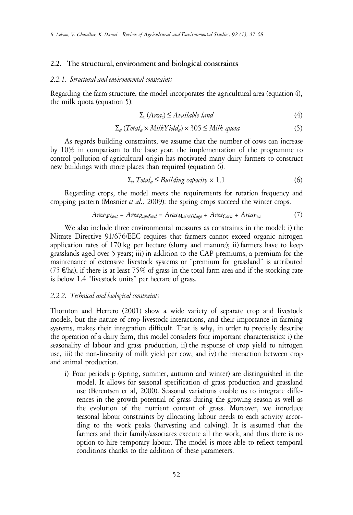## **2.2. The structural, environment and biological constraints**

# *2.2.1. Structural and environmental constraints*

Regarding the farm structure, the model incorporates the agricultural area (equation 4), the milk quota (equation 5):

$$
\Sigma_c \, (Area_c) \le \text{Available land} \tag{4}
$$

$$
\Sigma_a (Total_a \times MilkYield_a) \times 305 \leq Milk \quad \text{(5)}
$$

As regards building constraints, we assume that the number of cows can increase by 10% in comparison to the base year: the implementation of the programme to control pollution of agricultural origin has motivated many dairy farmers to construct new buildings with more places than required (equation 6).

$$
\Sigma_a \text{Total}_a \le \text{Building capacity} \times 1.1 \tag{6}
$$

Regarding crops, the model meets the requirements for rotation frequency and cropping pattern (Mosnier *et al.*, 2009): the spring crops succeed the winter crops.

$$
Area_{Wbeat} + Area_{RapeSeed} = Area_{MaiseSilage} + Area_{Corn} + Area_{Ped}
$$
 (7)

We also include three environmental measures as constraints in the model: i) the Nitrate Directive 91/676/EEC requires that farmers cannot exceed organic nitrogen application rates of 170 kg per hectare (slurry and manure); ii) farmers have to keep grasslands aged over 5 years; iii) in addition to the CAP premiums, a premium for the maintenance of extensive livestock systems or "premium for grassland" is attributed (75  $\varepsilon$ /ha), if there is at least 75% of grass in the total farm area and if the stocking rate is below 1.4 "livestock units" per hectare of grass.

## *2.2.2. Technical and biological constraints*

Thornton and Herrero (2001) show a wide variety of separate crop and livestock models, but the nature of crop-livestock interactions, and their importance in farming systems, makes their integration difficult. That is why, in order to precisely describe the operation of a dairy farm, this model considers four important characteristics: i) the seasonality of labour and grass production, ii) the response of crop yield to nitrogen use, iii) the non-linearity of milk yield per cow, and iv) the interaction between crop and animal production.

i) Four periods p (spring, summer, autumn and winter) are distinguished in the model. It allows for seasonal specification of grass production and grassland use (Berentsen et al, 2000). Seasonal variations enable us to integrate differences in the growth potential of grass during the growing season as well as the evolution of the nutrient content of grass. Moreover, we introduce seasonal labour constraints by allocating labour needs to each activity according to the work peaks (harvesting and calving). It is assumed that the farmers and their family/associates execute all the work, and thus there is no option to hire temporary labour. The model is more able to reflect temporal conditions thanks to the addition of these parameters.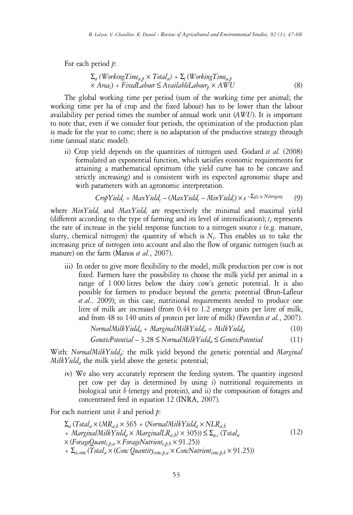For each period *p*:

$$
\Sigma_a (WorkingTime_{a,p} \times Total_a) + \Sigma_c (WorkingTime_{a,p} \times Area_c) + FixedLabelabour \le AvailableLabelor_{p} \times AWU
$$
\n(8)

The global working time per period (sum of the working time per animal; the working time per ha of crop and the fixed labour) has to be lower than the labour availability per period times the number of annual work unit (*AWU*). It is important to note that, even if we consider four periods, the optimization of the production plan is made for the year to come; there is no adaptation of the productive strategy through time (annual static model).

ii) Crop yield depends on the quantities of nitrogen used. Godard *et al.* (2008) formulated an exponential function, which satisfies economic requirements for attaining a mathematical optimum (the yield curve has to be concave and strictly increasing) and is consistent with its expected agronomic shape and with parameters with an agronomic interpretation.

$$
CropYield_c = MaxYield_c - (MaxYield_c - MinYield_c) \times e^{-\sum_{i} x_i \times Nitrogen_i}
$$
 (9)

where *MinYield<sup>c</sup>* and *MaxYield<sup>c</sup>* are respectively the minimal and maximal yield (different according to the type of farming and its level of intensification); *t<sup>i</sup>* represents the rate of increase in the yield response function to a nitrogen source *i* (e.g. manure, slurry, chemical nitrogen) the quantity of which is  $N_i$ . This enables us to take the increasing price of nitrogen into account and also the flow of organic nitrogen (such as manure) on the farm (Manos *et al.*, 2007).

iii) In order to give more flexibility to the model, milk production per cow is not fixed. Farmers have the possibility to choose the milk yield per animal in a range of 1 000 litres below the dairy cow's genetic potential. It is also possible for farmers to produce beyond the genetic potential (Brun-Lafleur *et al.,* 2009); in this case, nutritional requirements needed to produce one litre of milk are increased (from 0.44 to 1.2 energy units per litre of milk, and from 48 to 140 units of protein per litre of milk) (Faverdin *et al.*, 2007).

$$
NormalMilkYield_a + MarginalMilkYield_a = MilkYield_a \tag{10}
$$

$$
GeneticPotential - 3.28 \leq NormalMilkYield_a \leq GeneticPotential
$$
 (11)

With: *NormalMilkYielda*: the milk yield beyond the genetic potential and *Marginal MilkYield<sup>a</sup>* the milk yield above the genetic potential;

iv) We also very accurately represent the feeding system. The quantity ingested per cow per day is determined by using i) nutritional requirements in biological unit *b* (energy and protein), and ii) the composition of forages and concentrated feed in equation 12 (INRA, 2007).

For each nutrient unit *b* and period *p*:

$$
\Sigma_a (Total_a \times (MR_{a,b} \times 365 + (NormalMilkYield_a \times NLR_{a,b} + MarginalMilkYield_a \times MarginalLR_{a,b}) \times 305)) \leq \Sigma_{a,c} (Total_a \times (ForageQuant_{c,p,a} \times ForageNutrient_{c,p,b} \times 91.25)) + \Sigma_{a,conc} (Total_a \times (Conc Quantity_{cone,p,a} \times ConcNutrient_{conc,p,b} \times 91.25))
$$
\n(12)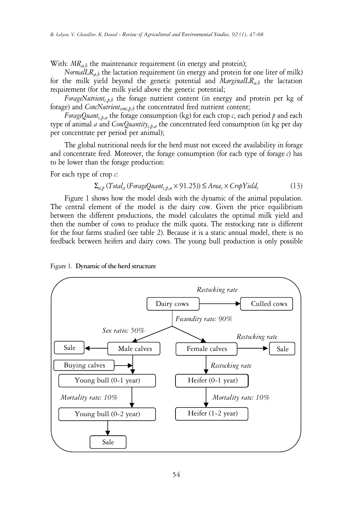With:  $MR_{a,b}$  the maintenance requirement (in energy and protein);

*NormalLR*<sub>a,b</sub> the lactation requirement (in energy and protein for one liter of milk) for the milk yield beyond the genetic potential and *MarginalLRa,b* the lactation requirement (for the milk yield above the genetic potential;

*ForageNutrientc,p,b* the forage nutrient content (in energy and protein per kg of forage) and *ConcNutrientconc,p,b* the concentrated feed nutrient content;

*ForageQuant<sub>c,p,a</sub>* the forage consumption (kg) for each crop *c*, each period *p* and each type of animal *a* and *ConcQuantityc,p,a* the concentrated feed consumption (in kg per day per concentrate per period per animal);

The global nutritional needs for the herd must not exceed the availability in forage and concentrate feed. Moreover, the forage consumption (for each type of forage  $c$ ) has to be lower than the forage production:

For each type of crop *c*:

$$
\Sigma_{a,b} (Total_a (For ageQuant_{c,b,a} \times 91.25)) \leq Area_c \times CropYield_c
$$
 (13)

Figure 1 shows how the model deals with the dynamic of the animal population. The central element of the model is the dairy cow. Given the price equilibrium between the different productions, the model calculates the optimal milk yield and then the number of cows to produce the milk quota. The restocking rate is different for the four farms studied (see table 2). Because it is a static annual model, there is no feedback between heifers and dairy cows. The young bull production is only possible



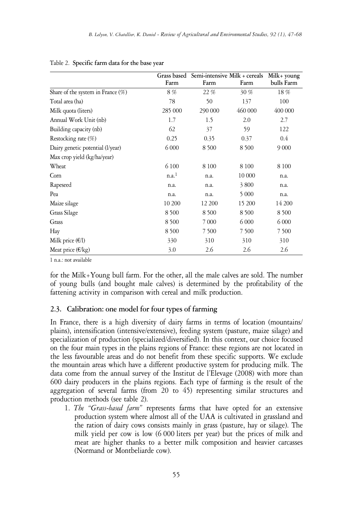|                                   | Grass based<br>Farm | Farm    | Semi-intensive Milk + cereals<br>Farm | Milk+ young<br>bulls Farm |
|-----------------------------------|---------------------|---------|---------------------------------------|---------------------------|
| Share of the system in France (%) | 8%                  | 22 %    | $30\%$                                | 18%                       |
| Total area (ha)                   | 78                  | 50      | 137                                   | 100                       |
| Milk quota (liters)               | 285 000             | 290 000 | 460 000                               | 400 000                   |
| Annual Work Unit (nb)             | 1.7                 | 1.5     | 2.0                                   | 2.7                       |
| Building capacity (nb)            | 62                  | 37      | 59                                    | 122                       |
| Restocking rate (%)               | 0.25                | 0.35    | 0.37                                  | 0.4                       |
| Dairy genetic potential (l/year)  | 6 0 0 0             | 8500    | 8500                                  | 9 0 0 0                   |
| Max crop yield (kg/ha/year)       |                     |         |                                       |                           |
| Wheat                             | 6 100               | 8 1 0 0 | 8 1 0 0                               | 8 1 0 0                   |
| Corn                              | $n.a.$ <sup>1</sup> | n.a.    | 10 000                                | n.a.                      |
| Rapeseed                          | n.a.                | n.a.    | 3800                                  | n.a.                      |
| Pea                               | n.a.                | n.a.    | 5 0 0 0                               | n.a.                      |
| Maize silage                      | 10 200              | 12 200  | 15 200                                | 14 200                    |
| Grass Silage                      | 8500                | 8500    | 8500                                  | 8500                      |
| Grass                             | 8 5 0 0             | 7 0 0 0 | 6 0 0 0                               | 6 0 0 0                   |
| Hay                               | 8500                | 7 500   | 7 500                                 | 7500                      |
| Milk price $(\epsilon/l)$         | 330                 | 310     | 310                                   | 310                       |
| Meat price $(\epsilon/kg)$        | 3.0                 | 2.6     | 2.6                                   | 2.6                       |

#### Table 2. **Specific farm data for the base year**

1 n.a.: not available

for the Milk+Young bull farm. For the other, all the male calves are sold. The number of young bulls (and bought male calves) is determined by the profitability of the fattening activity in comparison with cereal and milk production.

## **2.3. Calibration: one model for four types of farming**

In France, there is a high diversity of dairy farms in terms of location (mountains/ plains), intensification (intensive/extensive), feeding system (pasture, maize silage) and specialization of production (specialized/diversified). In this context, our choice focused on the four main types in the plains regions of France: these regions are not located in the less favourable areas and do not benefit from these specific supports. We exclude the mountain areas which have a different productive system for producing milk. The data come from the annual survey of the Institut de l'Elevage (2008) with more than 600 dairy producers in the plains regions. Each type of farming is the result of the aggregation of several farms (from 20 to 45) representing similar structures and production methods (see table 2).

1. *The "Grass-based farm"* represents farms that have opted for an extensive production system where almost all of the UAA is cultivated in grassland and the ration of dairy cows consists mainly in grass (pasture, hay or silage). The milk yield per cow is low (6 000 liters per year) but the prices of milk and meat are higher thanks to a better milk composition and heavier carcasses (Normand or Montbeliarde cow).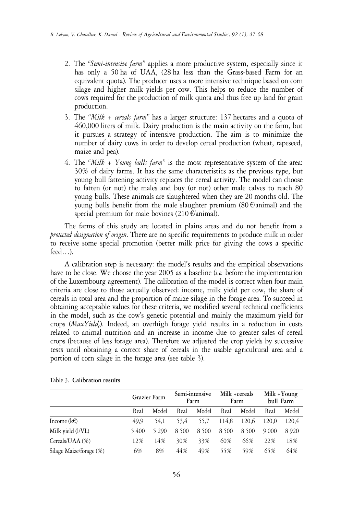- 2. The *"Semi-intensive farm"* applies a more productive system, especially since it has only a 50 ha of UAA, (28 ha less than the Grass-based Farm for an equivalent quota). The producer uses a more intensive technique based on corn silage and higher milk yields per cow. This helps to reduce the number of cows required for the production of milk quota and thus free up land for grain production.
- 3. The *"Milk + cereals farm"* has a larger structure: 137 hectares and a quota of 460,000 liters of milk. Dairy production is the main activity on the farm, but it pursues a strategy of intensive production. The aim is to minimize the number of dairy cows in order to develop cereal production (wheat, rapeseed, maize and pea).
- 4. The *"Milk + Young bulls farm"* is the most representative system of the area: 30% of dairy farms. It has the same characteristics as the previous type, but young bull fattening activity replaces the cereal activity. The model can choose to fatten (or not) the males and buy (or not) other male calves to reach 80 young bulls. These animals are slaughtered when they are 20 months old. The young bulls benefit from the male slaughter premium  $(80) \times (20)$  and the special premium for male bovines (210  $\epsilon$ /animal).

The farms of this study are located in plains areas and do not benefit from a *protected designation of origin*. There are no specific requirements to produce milk in order to receive some special promotion (better milk price for giving the cows a specific feed…).

A calibration step is necessary: the model's results and the empirical observations have to be close. We choose the year 2005 as a baseline (*i.e.* before the implementation of the Luxembourg agreement). The calibration of the model is correct when four main criteria are close to those actually observed: income, milk yield per cow, the share of cereals in total area and the proportion of maize silage in the forage area. To succeed in obtaining acceptable values for these criteria, we modified several technical coefficients in the model, such as the cow's genetic potential and mainly the maximum yield for crops (*MaxYield<sup>c</sup>* ). Indeed, an overhigh forage yield results in a reduction in costs related to animal nutrition and an increase in income due to greater sales of cereal crops (because of less forage area). Therefore we adjusted the crop yields by successive tests until obtaining a correct share of cereals in the usable agricultural area and a portion of corn silage in the forage area (see table 3).

|                         |      | Grazier Farm |       | Semi-intensive<br>Farm |         | Milk +cereals<br>Farm |         | Milk $+$ Young<br>bull Farm |
|-------------------------|------|--------------|-------|------------------------|---------|-----------------------|---------|-----------------------------|
|                         | Real | Model        | Real  | Model                  | Real    | Model                 | Real    | Model                       |
| Income (k $\epsilon$ )  | 49.9 | 54.1         | 53.4  | 55.7                   | 114.8   | 120.6                 | 120.0   | 120.4                       |
| Milk yield (l/VL)       | 5400 | 5 2 9 0      | 8 500 | 8 500                  | 8 5 0 0 | 8 500                 | 9 0 0 0 | 8920                        |
| Cereals/UAA (%)         | 12%  | 14%          | 30%   | 33%                    | 60%     | 66%                   | 22%     | 18%                         |
| Silage Maize/forage (%) | 6%   | 8%           | 44%   | 49%                    | 55%     | 59%                   | 65%     | 64%                         |

Table 3. **Calibration results**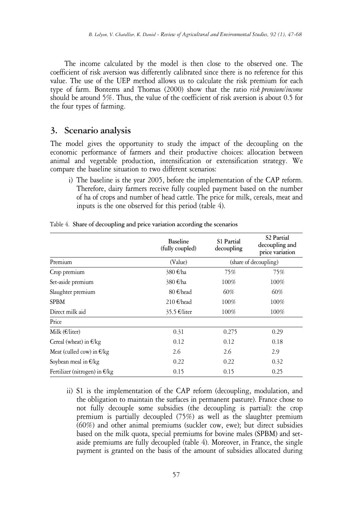The income calculated by the model is then close to the observed one. The coefficient of risk aversion was differently calibrated since there is no reference for this value. The use of the UEP method allows us to calculate the risk premium for each type of farm. Bontems and Thomas (2000) show that the ratio *risk premium/income* should be around 5%. Thus, the value of the coefficient of risk aversion is about 0.5 for the four types of farming.

# **3. Scenario analysis**

The model gives the opportunity to study the impact of the decoupling on the economic performance of farmers and their productive choices: allocation between animal and vegetable production, intensification or extensification strategy. We compare the baseline situation to two different scenarios:

i) The baseline is the year 2005, before the implementation of the CAP reform. Therefore, dairy farmers receive fully coupled payment based on the number of ha of crops and number of head cattle. The price for milk, cereals, meat and inputs is the one observed for this period (table 4).

|                                 | <b>Baseline</b><br>(fully coupled) | S1 Partial<br>decoupling | S <sub>2</sub> Partial<br>decoupling and<br>price variation |
|---------------------------------|------------------------------------|--------------------------|-------------------------------------------------------------|
| Premium                         | (Value)                            |                          | (share of decoupling)                                       |
| Crop premium                    | 380 €/ha                           | 75%                      | 75%                                                         |
| Set-aside premium               | 380 €/ha                           | 100%                     | 100%                                                        |
| Slaughter premium               | 80 €/head                          | 60%                      | 60%                                                         |
| <b>SPBM</b>                     | 210 €/head                         | 100%                     | 100%                                                        |
| Direct milk aid                 | $35.5$ €/liter                     | 100%                     | 100%                                                        |
| Price                           |                                    |                          |                                                             |
| Milk $(E/liter)$                | 0.31                               | 0.275                    | 0.29                                                        |
| Cereal (wheat) in $E/kg$        | 0.12                               | 0.12                     | 0.18                                                        |
| Meat (culled cow) in $E/kg$     | 2.6                                | 2.6                      | 2.9                                                         |
| Soybean meal in $E/kg$          | 0.22                               | 0.22                     | 0.32                                                        |
| Fertilizer (nitrogen) in $E/kg$ | 0.15                               | 0.15                     | 0.25                                                        |

Table 4. **Share of decoupling and price variation according the scenarios**

ii) S1 is the implementation of the CAP reform (decoupling, modulation, and the obligation to maintain the surfaces in permanent pasture). France chose to not fully decouple some subsidies (the decoupling is partial): the crop premium is partially decoupled (75%) as well as the slaughter premium (60%) and other animal premiums (suckler cow, ewe); but direct subsidies based on the milk quota, special premiums for bovine males (SPBM) and setaside premiums are fully decoupled (table 4). Moreover, in France, the single payment is granted on the basis of the amount of subsidies allocated during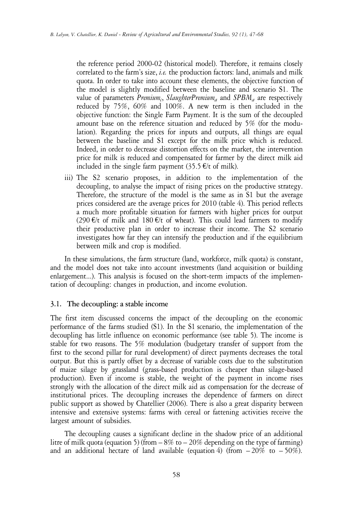the reference period 2000-02 (historical model). Therefore, it remains closely correlated to the farm's size, *i.e.* the production factors: land, animals and milk quota. In order to take into account these elements, the objective function of the model is slightly modified between the baseline and scenario S1. The value of parameters *Premium<sup>c</sup>* , *SlaughterPremium<sup>a</sup>* and *SPBM<sup>a</sup>* are respectively reduced by 75%, 60% and 100%. A new term is then included in the objective function: the Single Farm Payment. It is the sum of the decoupled amount base on the reference situation and reduced by 5% (for the modulation). Regarding the prices for inputs and outputs, all things are equal between the baseline and S1 except for the milk price which is reduced. Indeed, in order to decrease distortion effects on the market, the intervention price for milk is reduced and compensated for farmer by the direct milk aid included in the single farm payment (35.5  $E/t$  of milk).

iii) The S2 scenario proposes, in addition to the implementation of the decoupling, to analyse the impact of rising prices on the productive strategy. Therefore, the structure of the model is the same as in S1 but the average prices considered are the average prices for 2010 (table 4). This period reflects a much more profitable situation for farmers with higher prices for output (290  $\epsilon$ /t of milk and 180  $\epsilon$ /t of wheat). This could lead farmers to modify their productive plan in order to increase their income. The S2 scenario investigates how far they can intensify the production and if the equilibrium between milk and crop is modified.

In these simulations, the farm structure (land, workforce, milk quota) is constant, and the model does not take into account investments (land acquisition or building enlargement...). This analysis is focused on the short-term impacts of the implementation of decoupling: changes in production, and income evolution.

## **3.1. The decoupling: a stable income**

The first item discussed concerns the impact of the decoupling on the economic performance of the farms studied (S1). In the S1 scenario, the implementation of the decoupling has little influence on economic performance (see table 5). The income is stable for two reasons. The 5% modulation (budgetary transfer of support from the first to the second pillar for rural development) of direct payments decreases the total output. But this is partly offset by a decrease of variable costs due to the substitution of maize silage by grassland (grass-based production is cheaper than silage-based production). Even if income is stable, the weight of the payment in income rises strongly with the allocation of the direct milk aid as compensation for the decrease of institutional prices. The decoupling increases the dependence of farmers on direct public support as showed by Chatellier (2006). There is also a great disparity between intensive and extensive systems: farms with cereal or fattening activities receive the largest amount of subsidies.

The decoupling causes a significant decline in the shadow price of an additional litre of milk quota (equation 5) (from  $-8\%$  to  $-20\%$  depending on the type of farming) and an additional hectare of land available (equation 4) (from  $-20\%$  to  $-50\%$ ).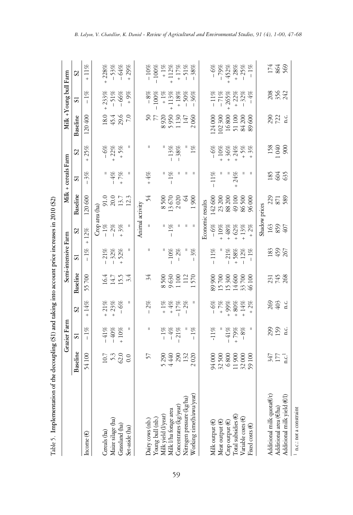|                                                                                     |                                     | Grazier Farm            |                    |                                                   | Semi-intensive Farm |                             |                                                               | Milk + cereals Farm     |                        |                                                                                              | Milk + Young bull Farm     |                                                                 |
|-------------------------------------------------------------------------------------|-------------------------------------|-------------------------|--------------------|---------------------------------------------------|---------------------|-----------------------------|---------------------------------------------------------------|-------------------------|------------------------|----------------------------------------------------------------------------------------------|----------------------------|-----------------------------------------------------------------|
|                                                                                     | Baseline                            | $\overline{\mathbf{s}}$ | S <sub>2</sub>     | Baseline                                          | 51                  | $\mathcal{S}^{\mathcal{S}}$ | Baseline                                                      | $\overline{\mathbf{s}}$ | $\mathcal{S}$          | Baseline                                                                                     | 51                         | $\mathcal{S}$                                                   |
| Income (€)                                                                          | 54100                               | $-1\%$                  | $+14%$             | 55700                                             | $-1\%$              | 12%<br>$^{+}$               | 120600                                                        | 3%<br>$\overline{1}$    | 25%<br>$^{+}$          | 120400                                                                                       | $-1\%$                     | $11\%$<br>$\ddot{}$                                             |
|                                                                                     |                                     |                         |                    |                                                   |                     |                             | Crop area (ha)                                                |                         |                        |                                                                                              |                            |                                                                 |
| Cereals (ha)                                                                        |                                     | $-41%$                  | $+21%$             |                                                   | 21%                 |                             |                                                               |                         | $-6%$                  |                                                                                              | $+233%$                    | $+228%$                                                         |
| Maize silage (ha)                                                                   | $10.7$<br>5.3<br>62.0               | $-40\%$<br>+ 10%        | $-3%$<br>-6%       | 16.4<br>14.7<br>15.5                              | $-32%$<br>+52%      | $-1\%$<br>$-2\%$<br>$+3\%$  | 91.0<br>20.0<br>12.3                                          | $-4\%$                  | $+ 22% + 5%$           | 18.4<br>45.8<br>7                                                                            |                            |                                                                 |
| Grassland (ha)                                                                      |                                     |                         |                    |                                                   |                     |                             |                                                               | 7%<br>$\ddot{}$         |                        |                                                                                              | $-51%$<br>$-66%$           | $-53%$<br>-64%                                                  |
| Set-aside (ha)                                                                      | 0.0                                 | Ш                       | Ш                  | 3.4                                               | Ш                   | $\mathsf{II}%$              |                                                               | Ш                       | Ш                      |                                                                                              | $+9\%$                     | $+29%$                                                          |
|                                                                                     |                                     |                         |                    |                                                   |                     |                             | Animal activity                                               |                         |                        |                                                                                              |                            |                                                                 |
| Dairy cows (nb.)                                                                    | 57                                  | Ш                       | 2%<br>$\mathbf{I}$ | 34                                                | Ш                   | Ш                           | 24                                                            | $+4%$                   | $\mathsf{I}$           |                                                                                              | $-8%$                      | $-10%$                                                          |
|                                                                                     |                                     |                         |                    |                                                   |                     |                             |                                                               |                         |                        | 77                                                                                           | $-100\%$                   | $-100\%$                                                        |
|                                                                                     |                                     |                         | $+1\%$             | 8500                                              |                     |                             |                                                               |                         |                        |                                                                                              |                            |                                                                 |
| Young bull (nb.)<br>Milk yield (l/year)<br>Milk l/ha forage area                    | 5<br>440<br>440<br>522              | $-1%$<br>-4%            | $+4\%$             | 9630<br>1100<br>112<br>1570                       | $-10%$              | $-1\%$                      | 8500<br>13670                                                 | $-1\%$                  | $-13\%$                | 8920<br>5950<br>1130<br>147                                                                  | $+1\%$<br>+113%            | $+1\%$<br>+112%                                                 |
| Concentrates (kg/year)                                                              |                                     | 21%                     | $-17%$             |                                                   | $-2%$               | Ш                           | 2020                                                          |                         | $-38%$                 |                                                                                              |                            |                                                                 |
| Nitrogen pressure (kg/ha)                                                           |                                     |                         | $-2%$              |                                                   |                     | Ш                           | $\mathcal{R}$                                                 |                         |                        |                                                                                              |                            |                                                                 |
| Working time(h/awu/year)                                                            | 2020                                | $-1\%$                  |                    |                                                   | $-3%$               | - II                        | 600                                                           | Ш                       | $1\%$                  | 2060                                                                                         | $-36%$<br>$-50%$<br>$-36%$ | $\begin{array}{r} +17\% \\ +17\% \\ -51\% \\ -38\% \end{array}$ |
|                                                                                     |                                     |                         |                    |                                                   |                     |                             | Economic results                                              |                         |                        |                                                                                              |                            |                                                                 |
| Milk output (€)                                                                     | 94000                               | $-11\%$                 | $-6%$              |                                                   | $-11%$              | $-6%$                       |                                                               | $-11%$                  | $-6%$                  |                                                                                              |                            | $-6%$                                                           |
| Meat output (€)                                                                     |                                     |                         | $+7\%$             |                                                   |                     | $+10%$                      | $\begin{array}{c} 142\,600 \\ 23\,200 \\ 88\,200 \end{array}$ |                         | $+10%$                 |                                                                                              | $-11%$<br>$-71%$           | $-79%$                                                          |
|                                                                                     |                                     | $-41%$                  | 99%                |                                                   | $-21%$              | $48\%$                      |                                                               |                         | $+ 36\% +$<br>$+ 24\%$ |                                                                                              | $+265%$                    | $+452%$                                                         |
| $\begin{array}{l} \mbox{Group output (E)}\\ \mbox{Total subsidies (E)} \end{array}$ | 32 500<br>6 800<br>11 900<br>32 000 | $^{+88}$                | $+80\%$            | 89 900<br>15 700<br>15 300<br>14 33 700<br>46 100 |                     | $+62%$                      | 49100                                                         | $+24%$                  |                        | $\begin{array}{l} 124\,000\\ 102\,300\\ 16\,800\\ 1\,5\,100\\ 84\,200\\ 89\,600 \end{array}$ |                            |                                                                 |
| Variable costs (€)                                                                  |                                     |                         | $+14%$             |                                                   | $+ 58\%$<br>- 12%   | $13\%$                      | 86500                                                         |                         |                        |                                                                                              | $+ 22\%$<br>$- 32\%$       | $+ 28%$<br>- 25%                                                |
| Fixed costs $(E)$                                                                   | 59100                               | Ш                       | 2%<br>$^{+}$       |                                                   | $-1\%$              | $+2%$                       | 96000                                                         | Ш                       | $+5%$<br>+3%           | 600                                                                                          | $-4\%$                     | $-1\%$                                                          |
|                                                                                     |                                     |                         |                    |                                                   |                     |                             | Shadow prices                                                 |                         |                        |                                                                                              |                            |                                                                 |
| Additional milk quota $(Et)$                                                        |                                     |                         |                    |                                                   |                     |                             |                                                               | 185                     | 158                    |                                                                                              |                            |                                                                 |
| Additional area (€/ha)                                                              | $347$<br>177<br>12.1                | 299                     | 263<br>403         | 231<br>745<br>268                                 | 183<br>45<br>267    | 163<br>859                  | 2228                                                          | 604<br>635              | $640$                  | 290<br>722                                                                                   | 20<br>3542<br>24           | 174<br>864                                                      |
| Additional milk yield (E/I)                                                         |                                     | i.c                     | i.c                |                                                   |                     | 407                         |                                                               |                         | 60 <sup>o</sup>        | n.c.                                                                                         |                            |                                                                 |
| 1 n.c.: not a constraint                                                            |                                     |                         |                    |                                                   |                     |                             |                                                               |                         |                        |                                                                                              |                            |                                                                 |

59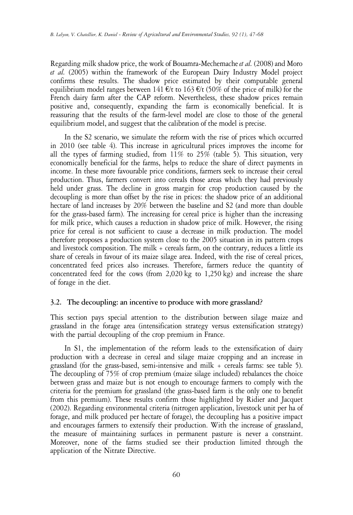Regarding milk shadow price, the work of Bouamra-Mechemache*et al.* (2008) and Moro *et al.* (2005) within the framework of the European Dairy Industry Model project confirms these results. The shadow price estimated by their computable general equilibrium model ranges between 141 €/t to 163 €/t (50% of the price of milk) for the French dairy farm after the CAP reform. Nevertheless, these shadow prices remain positive and, consequently, expanding the farm is economically beneficial. It is reassuring that the results of the farm-level model are close to those of the general equilibrium model, and suggest that the calibration of the model is precise.

In the S2 scenario, we simulate the reform with the rise of prices which occurred in 2010 (see table 4). This increase in agricultural prices improves the income for all the types of farming studied, from  $11\%$  to  $25\%$  (table 5). This situation, very economically beneficial for the farms, helps to reduce the share of direct payments in income. In these more favourable price conditions, farmers seek to increase their cereal production. Thus, farmers convert into cereals those areas which they had previously held under grass. The decline in gross margin for crop production caused by the decoupling is more than offset by the rise in prices: the shadow price of an additional hectare of land increases by 20% between the baseline and S2 (and more than double for the grass-based farm). The increasing for cereal price is higher than the increasing for milk price, which causes a reduction in shadow price of milk. However, the rising price for cereal is not sufficient to cause a decrease in milk production. The model therefore proposes a production system close to the 2005 situation in its pattern crops and livestock composition. The milk  $+$  cereals farm, on the contrary, reduces a little its share of cereals in favour of its maize silage area. Indeed, with the rise of cereal prices, concentrated feed prices also increases. Therefore, farmers reduce the quantity of concentrated feed for the cows (from 2,020 kg to 1,250 kg) and increase the share of forage in the diet.

## **3.2. The decoupling: an incentive to produce with more grassland?**

This section pays special attention to the distribution between silage maize and grassland in the forage area (intensification strategy versus extensification strategy) with the partial decoupling of the crop premium in France.

In S1, the implementation of the reform leads to the extensification of dairy production with a decrease in cereal and silage maize cropping and an increase in grassland (for the grass-based, semi-intensive and milk + cereals farms: see table 5). The decoupling of 75% of crop premium (maize silage included) rebalances the choice between grass and maize but is not enough to encourage farmers to comply with the criteria for the premium for grassland (the grass-based farm is the only one to benefit from this premium). These results confirm those highlighted by Ridier and Jacquet (2002). Regarding environmental criteria (nitrogen application, livestock unit per ha of forage, and milk produced per hectare of forage), the decoupling has a positive impact and encourages farmers to extensify their production. With the increase of grassland, the measure of maintaining surfaces in permanent pasture is never a constraint. Moreover, none of the farms studied see their production limited through the application of the Nitrate Directive.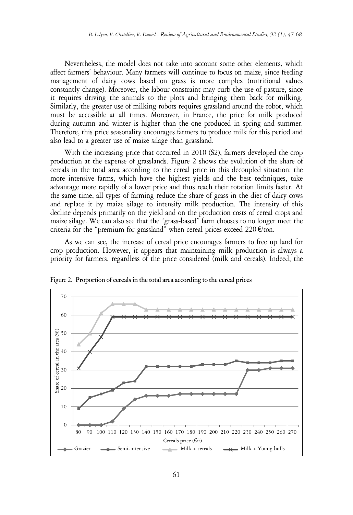Nevertheless, the model does not take into account some other elements, which affect farmers' behaviour. Many farmers will continue to focus on maize, since feeding management of dairy cows based on grass is more complex (nutritional values constantly change). Moreover, the labour constraint may curb the use of pasture, since it requires driving the animals to the plots and bringing them back for milking. Similarly, the greater use of milking robots requires grassland around the robot, which must be accessible at all times. Moreover, in France, the price for milk produced during autumn and winter is higher than the one produced in spring and summer. Therefore, this price seasonality encourages farmers to produce milk for this period and also lead to a greater use of maize silage than grassland.

With the increasing price that occurred in 2010 (S2), farmers developed the crop production at the expense of grasslands. Figure 2 shows the evolution of the share of cereals in the total area according to the cereal price in this decoupled situation: the more intensive farms, which have the highest yields and the best techniques, take advantage more rapidly of a lower price and thus reach their rotation limits faster. At the same time, all types of farming reduce the share of grass in the diet of dairy cows and replace it by maize silage to intensify milk production. The intensity of this decline depends primarily on the yield and on the production costs of cereal crops and maize silage. We can also see that the "grass-based" farm chooses to no longer meet the criteria for the "premium for grassland" when cereal prices exceed 220  $E$ /ton.

As we can see, the increase of cereal price encourages farmers to free up land for crop production. However, it appears that maintaining milk production is always a priority for farmers, regardless of the price considered (milk and cereals). Indeed, the



Figure 2. **Proportion of cerealsin the total area according to the cereal prices**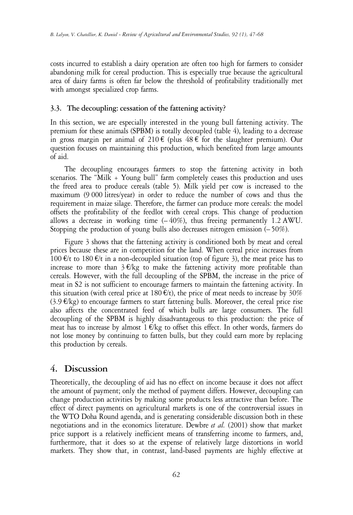costs incurred to establish a dairy operation are often too high for farmers to consider abandoning milk for cereal production. This is especially true because the agricultural area of dairy farms is often far below the threshold of profitability traditionally met with amongst specialized crop farms.

# **3.3. The decoupling: cessation of the fattening activity?**

In this section, we are especially interested in the young bull fattening activity. The premium for these animals (SPBM) is totally decoupled (table 4), leading to a decrease in gross margin per animal of  $210 \text{ } \infty$  (plus  $48 \text{ } \infty$  for the slaughter premium). Our question focuses on maintaining this production, which benefited from large amounts of aid.

The decoupling encourages farmers to stop the fattening activity in both scenarios. The "Milk + Young bull" farm completely ceases this production and uses the freed area to produce cereals (table 5). Milk yield per cow is increased to the maximum (9 000 litres/year) in order to reduce the number of cows and thus the requirement in maize silage. Therefore, the farmer can produce more cereals: the model offsets the profitability of the feedlot with cereal crops. This change of production allows a decrease in working time  $(-40\%)$ , thus freeing permanently 1.2 AWU. Stopping the production of young bulls also decreases nitrogen emission (– 50%).

Figure 3 shows that the fattening activity is conditioned both by meat and cereal prices because these are in competition for the land. When cereal price increases from 100 €/t to 180 €/t in a non-decoupled situation (top of figure 3), the meat price has to increase to more than  $3 \in \mathcal{K}$  to make the fattening activity more profitable than cereals. However, with the full decoupling of the SPBM, the increase in the price of meat in S2 is not sufficient to encourage farmers to maintain the fattening activity. In this situation (with cereal price at 180  $E/t$ ), the price of meat needs to increase by 30% (3.9 €/kg) to encourage farmers to start fattening bulls. Moreover, the cereal price rise also affects the concentrated feed of which bulls are large consumers. The full decoupling of the SPBM is highly disadvantageous to this production: the price of meat has to increase by almost  $1 \in \mathbb{K}$ g to offset this effect. In other words, farmers do not lose money by continuing to fatten bulls, but they could earn more by replacing this production by cereals.

# **4. Discussion**

Theoretically, the decoupling of aid has no effect on income because it does not affect the amount of payment; only the method of payment differs. However, decoupling can change production activities by making some products less attractive than before. The effect of direct payments on agricultural markets is one of the controversial issues in the WTO Doha Round agenda, and is generating considerable discussion both in these negotiations and in the economics literature. Dewbre *et al.* (2001) show that market price support is a relatively inefficient means of transferring income to farmers, and, furthermore, that it does so at the expense of relatively large distortions in world markets. They show that, in contrast, land-based payments are highly effective at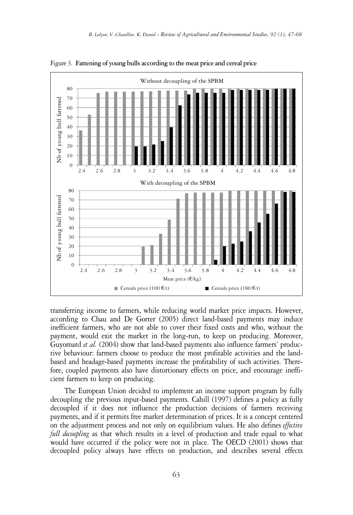

Figure 3. **Fattening of young bulls according to the meat price and cereal price**

transferring income to farmers, while reducing world market price impacts. However, according to Chau and De Gorter (2005) direct land-based payments may induce inefficient farmers, who are not able to cover their fixed costs and who, without the payment, would exit the market in the long-run, to keep on producing. Moreover, Guyomard *et al.* (2004) show that land-based payments also influence farmers' productive behaviour: farmers choose to produce the most profitable activities and the landbased and headage-based payments increase the profitability of such activities. Therefore, coupled payments also have distortionary effects on price, and encourage inefficient farmers to keep on producing.

The European Union decided to implement an income support program by fully decoupling the previous input-based payments. Cahill (1997) defines a policy as fully decoupled if it does not influence the production decisions of farmers receiving payments, and if it permits free market determination of prices. It is a concept centered on the adjustment process and not only on equilibrium values. He also defines *effective full decoupling* as that which results in a level of production and trade equal to what would have occurred if the policy were not in place. The OECD (2001) shows that decoupled policy always have effects on production, and describes several effects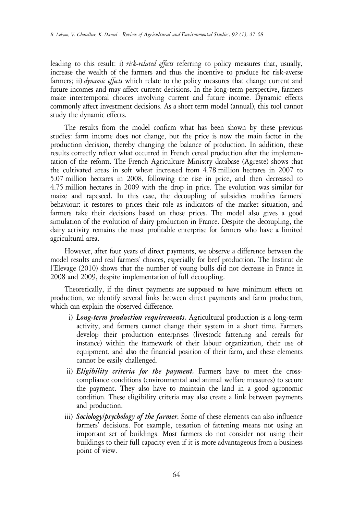leading to this result: i) *risk-related effects* referring to policy measures that, usually, increase the wealth of the farmers and thus the incentive to produce for risk-averse farmers; ii) *dynamic effects* which relate to the policy measures that change current and future incomes and may affect current decisions. In the long-term perspective, farmers make intertemporal choices involving current and future income. Dynamic effects commonly affect investment decisions. As a short term model (annual), this tool cannot study the dynamic effects.

The results from the model confirm what has been shown by these previous studies: farm income does not change, but the price is now the main factor in the production decision, thereby changing the balance of production. In addition, these results correctly reflect what occurred in French cereal production after the implementation of the reform. The French Agriculture Ministry database (Agreste) shows that the cultivated areas in soft wheat increased from 4.78 million hectares in 2007 to 5.07 million hectares in 2008, following the rise in price, and then decreased to 4.75 million hectares in 2009 with the drop in price. The evolution was similar for maize and rapeseed. In this case, the decoupling of subsidies modifies farmers' behaviour: it restores to prices their role as indicators of the market situation, and farmers take their decisions based on those prices. The model also gives a good simulation of the evolution of dairy production in France. Despite the decoupling, the dairy activity remains the most profitable enterprise for farmers who have a limited agricultural area.

However, after four years of direct payments, we observe a difference between the model results and real farmers' choices, especially for beef production. The Institut de l'Elevage (2010) shows that the number of young bulls did not decrease in France in 2008 and 2009, despite implementation of full decoupling.

Theoretically, if the direct payments are supposed to have minimum effects on production, we identify several links between direct payments and farm production, which can explain the observed difference.

- i) *Long-term production requirements.* Agricultural production is a long-term activity, and farmers cannot change their system in a short time. Farmers develop their production enterprises (livestock fattening and cereals for instance) within the framework of their labour organization, their use of equipment, and also the financial position of their farm, and these elements cannot be easily challenged.
- iii) *Eligibility criteria for the payment.* Farmers have to meet the crosscompliance conditions (environmental and animal welfare measures) to secure the payment. They also have to maintain the land in a good agronomic condition. These eligibility criteria may also create a link between payments and production.
- iii) *Sociology/psychology of the farmer.* Some of these elements can also influence farmers' decisions. For example, cessation of fattening means not using an important set of buildings. Most farmers do not consider not using their buildings to their full capacity even if it is more advantageous from a business point of view.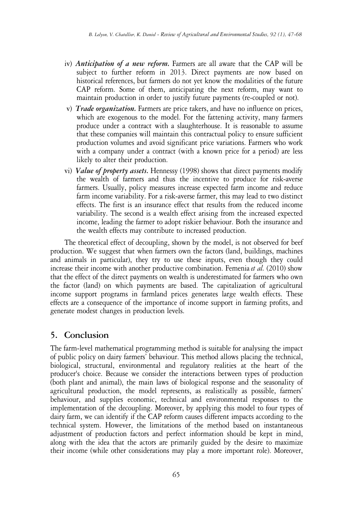- iv) *Anticipation of a new reform.* Farmers are all aware that the CAP will be subject to further reform in 2013. Direct payments are now based on historical references, but farmers do not yet know the modalities of the future CAP reform. Some of them, anticipating the next reform, may want to maintain production in order to justify future payments (re-coupled or not).
- iv) *Trade organization.* Farmers are price takers, and have no influence on prices, which are exogenous to the model. For the fattening activity, many farmers produce under a contract with a slaughterhouse. It is reasonable to assume that these companies will maintain this contractual policy to ensure sufficient production volumes and avoid significant price variations. Farmers who work with a company under a contract (with a known price for a period) are less likely to alter their production.
- vi) *Value of property assets***.** Hennessy (1998) shows that direct payments modify the wealth of farmers and thus the incentive to produce for risk-averse farmers. Usually, policy measures increase expected farm income and reduce farm income variability. For a risk-averse farmer, this may lead to two distinct effects. The first is an insurance effect that results from the reduced income variability. The second is a wealth effect arising from the increased expected income, leading the farmer to adopt riskier behaviour. Both the insurance and the wealth effects may contribute to increased production.

The theoretical effect of decoupling, shown by the model, is not observed for beef production. We suggest that when farmers own the factors (land, buildings, machines and animals in particular), they try to use these inputs, even though they could increase their income with another productive combination. Femenia *et al.* (2010) show that the effect of the direct payments on wealth is underestimated for farmers who own the factor (land) on which payments are based. The capitalization of agricultural income support programs in farmland prices generates large wealth effects. These effects are a consequence of the importance of income support in farming profits, and generate modest changes in production levels.

# **5. Conclusion**

The farm-level mathematical programming method is suitable for analysing the impact of public policy on dairy farmers' behaviour. This method allows placing the technical, biological, structural, environmental and regulatory realities at the heart of the producer's choice. Because we consider the interactions between types of production (both plant and animal), the main laws of biological response and the seasonality of agricultural production, the model represents, as realistically as possible, farmers' behaviour, and supplies economic, technical and environmental responses to the implementation of the decoupling. Moreover, by applying this model to four types of dairy farm, we can identify if the CAP reform causes different impacts according to the technical system. However, the limitations of the method based on instantaneous adjustment of production factors and perfect information should be kept in mind, along with the idea that the actors are primarily guided by the desire to maximize their income (while other considerations may play a more important role). Moreover,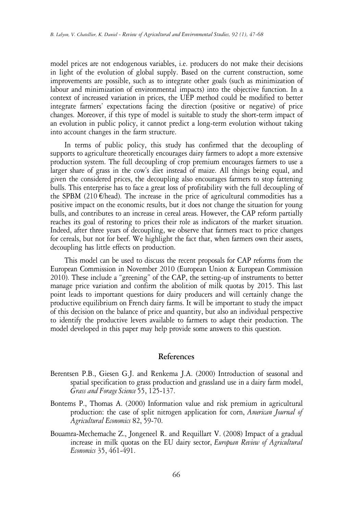model prices are not endogenous variables, i.e. producers do not make their decisions in light of the evolution of global supply. Based on the current construction, some improvements are possible, such as to integrate other goals (such as minimization of labour and minimization of environmental impacts) into the objective function. In a context of increased variation in prices, the UEP method could be modified to better integrate farmers' expectations facing the direction (positive or negative) of price changes. Moreover, if this type of model is suitable to study the short-term impact of an evolution in public policy, it cannot predict a long-term evolution without taking into account changes in the farm structure.

In terms of public policy, this study has confirmed that the decoupling of supports to agriculture theoretically encourages dairy farmers to adopt a more extensive production system. The full decoupling of crop premium encourages farmers to use a larger share of grass in the cow's diet instead of maize. All things being equal, and given the considered prices, the decoupling also encourages farmers to stop fattening bulls. This enterprise has to face a great loss of profitability with the full decoupling of the SPBM (210  $\epsilon$ /head). The increase in the price of agricultural commodities has a positive impact on the economic results, but it does not change the situation for young bulls, and contributes to an increase in cereal areas. However, the CAP reform partially reaches its goal of restoring to prices their role as indicators of the market situation. Indeed, after three years of decoupling, we observe that farmers react to price changes for cereals, but not for beef. We highlight the fact that, when farmers own their assets, decoupling has little effects on production.

This model can be used to discuss the recent proposals for CAP reforms from the European Commission in November 2010 (European Union & European Commission 2010). These include a "greening" of the CAP, the setting-up of instruments to better manage price variation and confirm the abolition of milk quotas by 2015. This last point leads to important questions for dairy producers and will certainly change the productive equilibrium on French dairy farms. It will be important to study the impact of this decision on the balance of price and quantity, but also an individual perspective to identify the productive levers available to farmers to adapt their production. The model developed in this paper may help provide some answers to this question.

# **References**

- Berentsen P.B., Giesen G.J. and Renkema J.A. (2000) Introduction of seasonal and spatial specification to grass production and grassland use in a dairy farm model, *Grass and Forage Science* 55, 125-137.
- Bontems P., Thomas A. (2000) Information value and risk premium in agricultural production: the case of split nitrogen application for corn, *American Journal of Agricultural Economics* 82, 59-70.
- Bouamra-Mechemache Z., Jongeneel R. and Requillart V. (2008) Impact of a gradual increase in milk quotas on the EU dairy sector, *European Review of Agricultural Economics* 35, 461-491.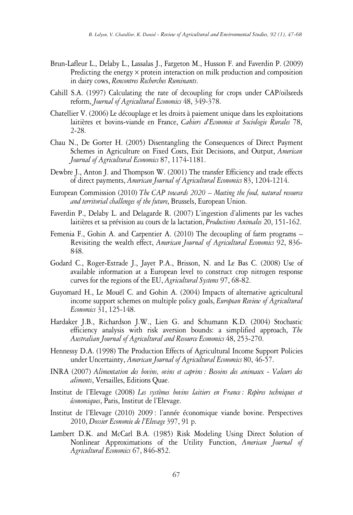- Brun-Lafleur L., Delaby L., Lassalas J., Fargeton M., Husson F. and Faverdin P. (2009) Predicting the energy  $\times$  protein interaction on milk production and composition in dairy cows, *Rencontres Recherches Ruminants*.
- Cahill S.A. (1997) Calculating the rate of decoupling for crops under CAP/oilseeds reform, *Journal of Agricultural Economics* 48, 349-378.
- Chatellier V. (2006) Le découplage et les droits à paiement unique dans les exploitations laitières et bovins-viande en France, *Cahiers d'Economie et Sociologie Rurales* 78, 2-28.
- Chau N., De Gorter H. (2005) Disentangling the Consequences of Direct Payment Schemes in Agriculture on Fixed Costs, Exit Decisions, and Output, *American Journal of Agricultural Economics* 87, 1174-1181.
- Dewbre J., Anton J. and Thompson W. (2001) The transfer Efficiency and trade effects of direct payments, *American Journal of Agricultural Economics* 83, 1204-1214.
- European Commission (2010) *The CAP towards 2020 – Meeting the food, natural resource and territorial challenges of the future*, Brussels, European Union.
- Faverdin P., Delaby L. and Delagarde R. (2007) L'ingestion d'aliments par les vaches laitières et sa prévision au cours de la lactation, *Productions Animales* 20, 151-162.
- Femenia F., Gohin A. and Carpentier A. (2010) The decoupling of farm programs Revisiting the wealth effect, *American Journal of Agricultural Economics* 92, 836- 848.
- Godard C., Roger-Estrade J., Jayet P.A., Brisson, N. and Le Bas C. (2008) Use of available information at a European level to construct crop nitrogen response curves for the regions of the EU, *Agricultural Systems* 97, 68-82.
- Guyomard H., Le Mouël C. and Gohin A. (2004) Impacts of alternative agricultural income support schemes on multiple policy goals, *European Review of Agricultural Economics* 31, 125-148.
- Hardaker J.B., Richardson J.W., Lien G. and Schumann K.D. (2004) Stochastic efficiency analysis with risk aversion bounds: a simplified approach, *The Australian Journal of Agricultural and Resource Economics* 48, 253-270.
- Hennessy D.A. (1998) The Production Effects of Agricultural Income Support Policies under Uncertainty, *American Journal of Agricultural Economics* 80, 46-57.
- INRA (2007) *Alimentation des bovins, ovins et caprins : Besoins des animaux - Valeurs des aliments*, Versailles, Editions Quae.
- Institut de l'Elevage (2008) *Les systèmes bovins laitiers en France : Repères techniques et économiques*, Paris, Institut de l'Elevage.
- Institut de l'Elevage (2010) 2009 : l'année économique viande bovine. Perspectives 2010, *Dossier Economie de l'Elevage* 397, 91 p.
- Lambert D.K. and McCarl B.A. (1985) Risk Modeling Using Direct Solution of Nonlinear Approximations of the Utility Function, *American Journal of Agricultural Economics* 67, 846-852.